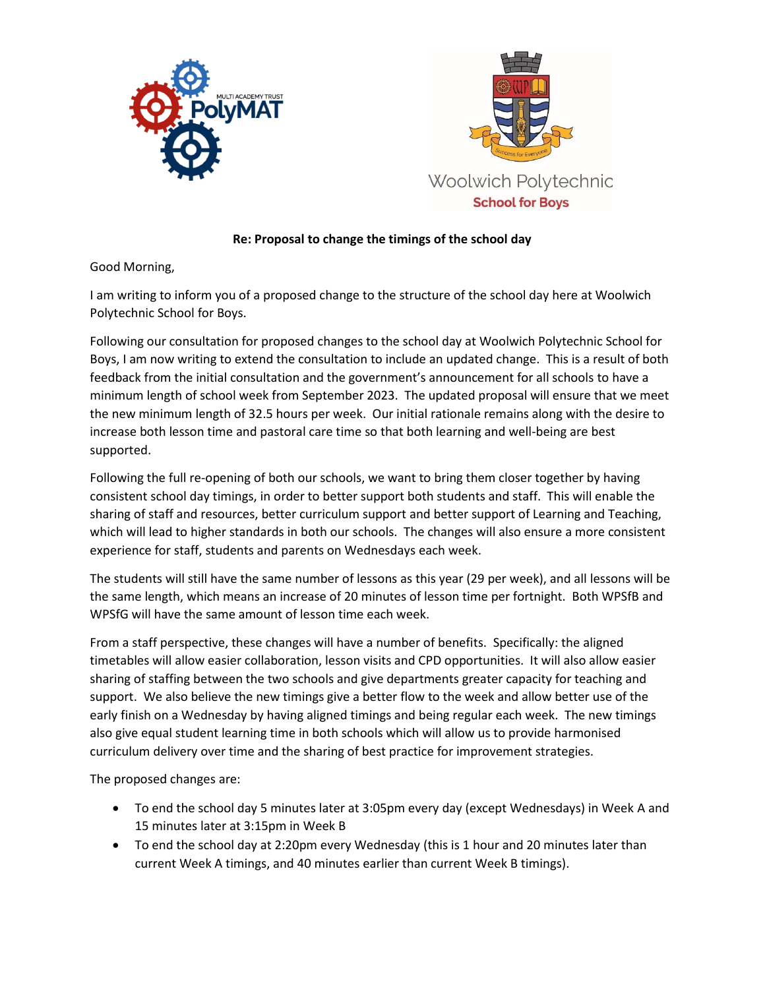



## **Re: Proposal to change the timings of the school day**

## Good Morning,

I am writing to inform you of a proposed change to the structure of the school day here at Woolwich Polytechnic School for Boys.

Following our consultation for proposed changes to the school day at Woolwich Polytechnic School for Boys, I am now writing to extend the consultation to include an updated change. This is a result of both feedback from the initial consultation and the government's announcement for all schools to have a minimum length of school week from September 2023. The updated proposal will ensure that we meet the new minimum length of 32.5 hours per week. Our initial rationale remains along with the desire to increase both lesson time and pastoral care time so that both learning and well-being are best supported.

Following the full re-opening of both our schools, we want to bring them closer together by having consistent school day timings, in order to better support both students and staff. This will enable the sharing of staff and resources, better curriculum support and better support of Learning and Teaching, which will lead to higher standards in both our schools. The changes will also ensure a more consistent experience for staff, students and parents on Wednesdays each week.

The students will still have the same number of lessons as this year (29 per week), and all lessons will be the same length, which means an increase of 20 minutes of lesson time per fortnight. Both WPSfB and WPSfG will have the same amount of lesson time each week.

From a staff perspective, these changes will have a number of benefits. Specifically: the aligned timetables will allow easier collaboration, lesson visits and CPD opportunities. It will also allow easier sharing of staffing between the two schools and give departments greater capacity for teaching and support. We also believe the new timings give a better flow to the week and allow better use of the early finish on a Wednesday by having aligned timings and being regular each week. The new timings also give equal student learning time in both schools which will allow us to provide harmonised curriculum delivery over time and the sharing of best practice for improvement strategies.

The proposed changes are:

- To end the school day 5 minutes later at 3:05pm every day (except Wednesdays) in Week A and 15 minutes later at 3:15pm in Week B
- To end the school day at 2:20pm every Wednesday (this is 1 hour and 20 minutes later than current Week A timings, and 40 minutes earlier than current Week B timings).